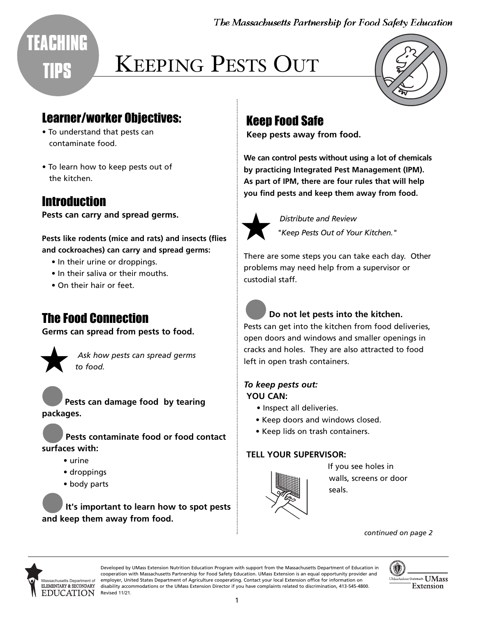The Massachusetts Partnership for Food Safety Education

## **TEACHING TIPS**

# KEEPING PESTS OUT



## Learner/worker Objectives:

- To understand that pests can contaminate food.
- To learn how to keep pests out of the kitchen.

## Introduction

**Pests can carry and spread germs.** 

#### **Pests like rodents (mice and rats) and insects (flies and cockroaches) can carry and spread germs:**

- In their urine or droppings.
- In their saliva or their mouths.
- On their hair or feet.

## The Food Connection

**Germs can spread from pests to food.** 



Ask how pests can spread germs<br>to food.

1 **Pests can damage food by tearing packages.** 

2 **Pests contaminate food or food contact surfaces with:** 

- urine
- droppings
- body parts

3 **It's important to learn how to spot pests and keep them away from food.** 

## Keep Food Safe

**Keep pests away from food.** 

**We can control pests without using a lot of chemicals by practicing Integrated Pest Management (IPM). As part of IPM, there are four rules that will help you find pests and keep them away from food.** 



*Distribute and Review "Keep Pests Out of Your Kitchen."* 

There are some steps you can take each day. Other problems may need help from a supervisor or custodial staff.

## 1 **Do not let pests into the kitchen.**

Pests can get into the kitchen from food deliveries, open doors and windows and smaller openings in cracks and holes. They are also attracted to food left in open trash containers.

#### *To keep pests out:*  **YOU CAN:**

- Inspect all deliveries.
- Keep doors and windows closed.
- Keep lids on trash containers.

#### **TELL YOUR SUPERVISOR:**



If you see holes in walls, screens or door seals.

*continued on page 2* 



ELEMENTARY & SECONDARY disability accommodations or the UMass Extension Director if you have complaints related to discrimination, 413-545-4800. Developed by UMass Extension Nutrition Education Program with support from the Massachusetts Department of Education in cooperation with Massachusetts Partnership for Food Safety Education. UMass Extension is an equal opportunity provider and employer, United States Department of Agriculture cooperating. Contact your local Extension office for information on Revised 11/21.